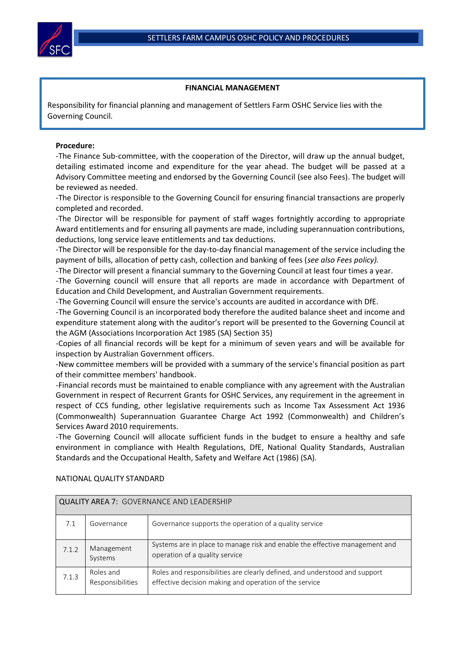

## **FINANCIAL MANAGEMENT**

Responsibility for financial planning and management of Settlers Farm OSHC Service lies with the Governing Council.

## **Procedure:**

-The Finance Sub-committee, with the cooperation of the Director, will draw up the annual budget, detailing estimated income and expenditure for the year ahead. The budget will be passed at a Advisory Committee meeting and endorsed by the Governing Council (see also Fees). The budget will be reviewed as needed.

-The Director is responsible to the Governing Council for ensuring financial transactions are properly completed and recorded.

-The Director will be responsible for payment of staff wages fortnightly according to appropriate Award entitlements and for ensuring all payments are made, including superannuation contributions, deductions, long service leave entitlements and tax deductions.

-The Director will be responsible for the day-to-day financial management of the service including the payment of bills, allocation of petty cash, collection and banking of fees (*see also Fees policy).*

-The Director will present a financial summary to the Governing Council at least four times a year.

-The Governing council will ensure that all reports are made in accordance with Department of Education and Child Development, and Australian Government requirements.

-The Governing Council will ensure the service's accounts are audited in accordance with DfE.

-The Governing Council is an incorporated body therefore the audited balance sheet and income and expenditure statement along with the auditor's report will be presented to the Governing Council at the AGM (Associations Incorporation Act 1985 (SA) Section 35)

-Copies of all financial records will be kept for a minimum of seven years and will be available for inspection by Australian Government officers.

-New committee members will be provided with a summary of the service's financial position as part of their committee members' handbook.

-Financial records must be maintained to enable compliance with any agreement with the Australian Government in respect of Recurrent Grants for OSHC Services, any requirement in the agreement in respect of CCS funding, other legislative requirements such as Income Tax Assessment Act 1936 (Commonwealth) Superannuation Guarantee Charge Act 1992 (Commonwealth) and Children's Services Award 2010 requirements.

-The Governing Council will allocate sufficient funds in the budget to ensure a healthy and safe environment in compliance with Health Regulations, DfE, National Quality Standards, Australian Standards and the Occupational Health, Safety and Welfare Act (1986) (SA).

| <b>QUALITY AREA 7: GOVERNANCE AND LEADERSHIP</b> |                               |                                                                                                                                      |  |  |
|--------------------------------------------------|-------------------------------|--------------------------------------------------------------------------------------------------------------------------------------|--|--|
| 7.1                                              | Governance                    | Governance supports the operation of a quality service                                                                               |  |  |
| 7.1.2                                            | Management<br>Systems         | Systems are in place to manage risk and enable the effective management and<br>operation of a quality service                        |  |  |
| 7.1.3                                            | Roles and<br>Responsibilities | Roles and responsibilities are clearly defined, and understood and support<br>effective decision making and operation of the service |  |  |

## NATIONAL QUALITY STANDARD